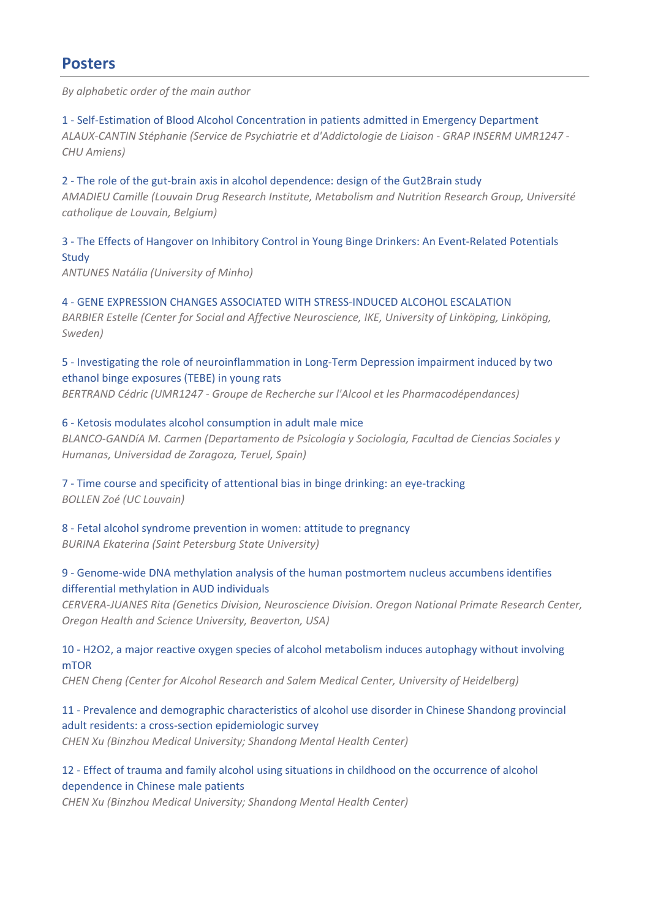*By alphabetic order of the main author* 

1 ‐ Self‐Estimation of Blood Alcohol Concentration in patients admitted in Emergency Department *ALAUX‐CANTIN Stéphanie (Service de Psychiatrie et d'Addictologie de Liaison ‐ GRAP INSERM UMR1247 ‐ CHU Amiens)* 

2 - The role of the gut-brain axis in alcohol dependence: design of the Gut2Brain study *AMADIEU Camille (Louvain Drug Research Institute, Metabolism and Nutrition Research Group, Université catholique de Louvain, Belgium)* 

3 ‐ The Effects of Hangover on Inhibitory Control in Young Binge Drinkers: An Event‐Related Potentials **Study** 

*ANTUNES Natália (University of Minho)* 

4 ‐ GENE EXPRESSION CHANGES ASSOCIATED WITH STRESS‐INDUCED ALCOHOL ESCALATION BARBIER Estelle (Center for Social and Affective Neuroscience, IKE, University of Linköping, Linköping, *Sweden)* 

5 - Investigating the role of neuroinflammation in Long-Term Depression impairment induced by two ethanol binge exposures (TEBE) in young rats *BERTRAND Cédric (UMR1247 ‐ Groupe de Recherche sur l'Alcool et les Pharmacodépendances)* 

#### 6 ‐ Ketosis modulates alcohol consumption in adult male mice

*BLANCO‐GANDíA M. Carmen (Departamento de Psicología y Sociología, Facultad de Ciencias Sociales y Humanas, Universidad de Zaragoza, Teruel, Spain)* 

7 - Time course and specificity of attentional bias in binge drinking: an eye-tracking *BOLLEN Zoé (UC Louvain)* 

8 ‐ Fetal alcohol syndrome prevention in women: attitude to pregnancy *BURINA Ekaterina (Saint Petersburg State University)* 

## 9 - Genome-wide DNA methylation analysis of the human postmortem nucleus accumbens identifies differential methylation in AUD individuals

*CERVERA‐JUANES Rita (Genetics Division, Neuroscience Division. Oregon National Primate Research Center, Oregon Health and Science University, Beaverton, USA)* 

## 10 ‐ H2O2, a major reactive oxygen species of alcohol metabolism induces autophagy without involving mTOR

*CHEN Cheng (Center for Alcohol Research and Salem Medical Center, University of Heidelberg)* 

11 ‐ Prevalence and demographic characteristics of alcohol use disorder in Chinese Shandong provincial adult residents: a cross‐section epidemiologic survey

*CHEN Xu (Binzhou Medical University; Shandong Mental Health Center)* 

## 12 - Effect of trauma and family alcohol using situations in childhood on the occurrence of alcohol dependence in Chinese male patients

*CHEN Xu (Binzhou Medical University; Shandong Mental Health Center)*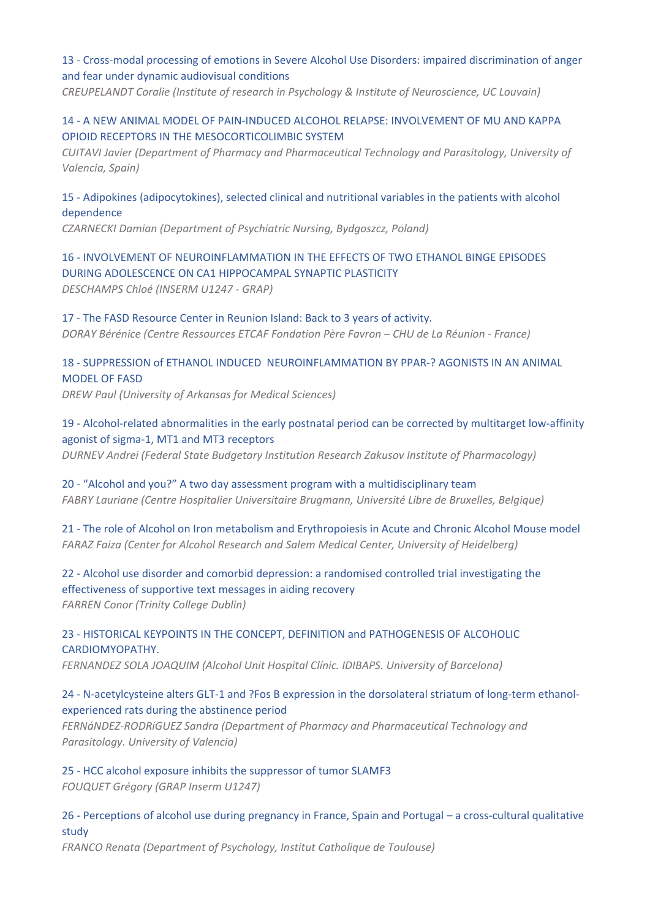## 13 ‐ Cross‐modal processing of emotions in Severe Alcohol Use Disorders: impaired discrimination of anger and fear under dynamic audiovisual conditions

*CREUPELANDT Coralie (Institute of research in Psychology & Institute of Neuroscience, UC Louvain)* 

## 14 ‐ A NEW ANIMAL MODEL OF PAIN‐INDUCED ALCOHOL RELAPSE: INVOLVEMENT OF MU AND KAPPA OPIOID RECEPTORS IN THE MESOCORTICOLIMBIC SYSTEM

*CUITAVI Javier (Department of Pharmacy and Pharmaceutical Technology and Parasitology, University of Valencia, Spain)* 

## 15 ‐ Adipokines (adipocytokines), selected clinical and nutritional variables in the patients with alcohol dependence

*CZARNECKI Damian (Department of Psychiatric Nursing, Bydgoszcz, Poland)* 

## 16 ‐ INVOLVEMENT OF NEUROINFLAMMATION IN THE EFFECTS OF TWO ETHANOL BINGE EPISODES DURING ADOLESCENCE ON CA1 HIPPOCAMPAL SYNAPTIC PLASTICITY

*DESCHAMPS Chloé (INSERM U1247 ‐ GRAP)* 

## 17 ‐ The FASD Resource Center in Reunion Island: Back to 3 years of activity.

*DORAY Bérénice (Centre Ressources ETCAF Fondation Père Favron – CHU de La Réunion ‐ France)* 

## 18 ‐ SUPPRESSION of ETHANOL INDUCED NEUROINFLAMMATION BY PPAR‐? AGONISTS IN AN ANIMAL MODEL OF FASD

*DREW Paul (University of Arkansas for Medical Sciences)* 

## 19 ‐ Alcohol‐related abnormalities in the early postnatal period can be corrected by multitarget low‐affinity agonist of sigma‐1, MT1 and MT3 receptors

*DURNEV Andrei (Federal State Budgetary Institution Research Zakusov Institute of Pharmacology)* 

## 20 ‐ "Alcohol and you?" A two day assessment program with a multidisciplinary team *FABRY Lauriane (Centre Hospitalier Universitaire Brugmann, Université Libre de Bruxelles, Belgique)*

21 - The role of Alcohol on Iron metabolism and Erythropoiesis in Acute and Chronic Alcohol Mouse model *FARAZ Faiza (Center for Alcohol Research and Salem Medical Center, University of Heidelberg)* 

## 22 ‐ Alcohol use disorder and comorbid depression: a randomised controlled trial investigating the effectiveness of supportive text messages in aiding recovery *FARREN Conor (Trinity College Dublin)*

## 23 ‐ HISTORICAL KEYPOINTS IN THE CONCEPT, DEFINITION and PATHOGENESIS OF ALCOHOLIC CARDIOMYOPATHY.

*FERNANDEZ SOLA JOAQUIM (Alcohol Unit Hospital Clínic. IDIBAPS. University of Barcelona)* 

## 24 - N-acetylcysteine alters GLT-1 and ?Fos B expression in the dorsolateral striatum of long-term ethanolexperienced rats during the abstinence period

*FERNáNDEZ‐RODRíGUEZ Sandra (Department of Pharmacy and Pharmaceutical Technology and Parasitology. University of Valencia)* 

# 25 ‐ HCC alcohol exposure inhibits the suppressor of tumor SLAMF3

*FOUQUET Grégory (GRAP Inserm U1247)* 

## 26 ‐ Perceptions of alcohol use during pregnancy in France, Spain and Portugal – a cross‐cultural qualitative study

*FRANCO Renata (Department of Psychology, Institut Catholique de Toulouse)*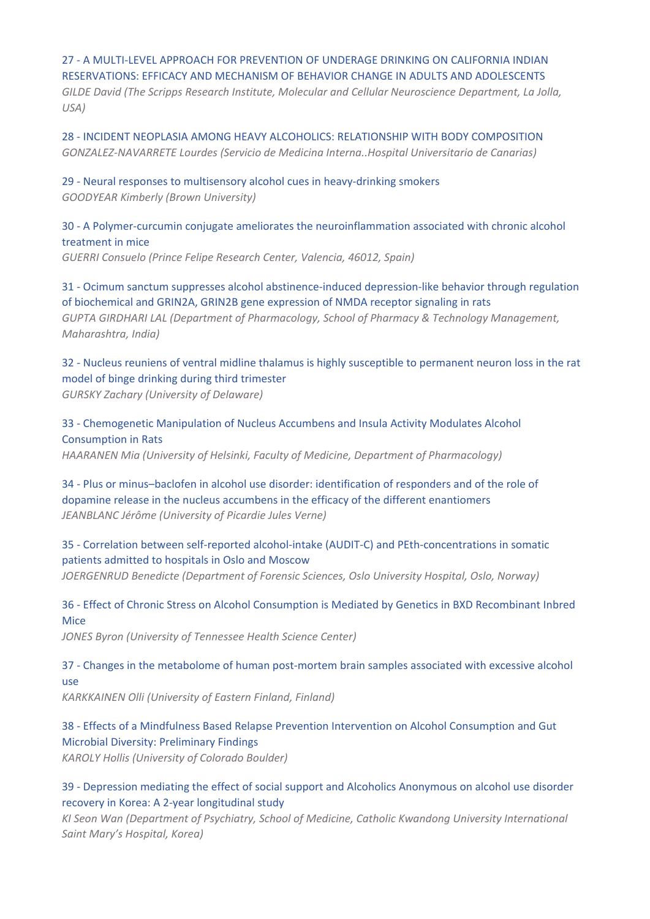#### 27 ‐ A MULTI‐LEVEL APPROACH FOR PREVENTION OF UNDERAGE DRINKING ON CALIFORNIA INDIAN RESERVATIONS: EFFICACY AND MECHANISM OF BEHAVIOR CHANGE IN ADULTS AND ADOLESCENTS

*GILDE David (The Scripps Research Institute, Molecular and Cellular Neuroscience Department, La Jolla, USA)* 

28 ‐ INCIDENT NEOPLASIA AMONG HEAVY ALCOHOLICS: RELATIONSHIP WITH BODY COMPOSITION *GONZALEZ‐NAVARRETE Lourdes (Servicio de Medicina Interna..Hospital Universitario de Canarias)* 

### 29 ‐ Neural responses to multisensory alcohol cues in heavy‐drinking smokers *GOODYEAR Kimberly (Brown University)*

## 30 ‐ A Polymer‐curcumin conjugate ameliorates the neuroinflammation associated with chronic alcohol treatment in mice

*GUERRI Consuelo (Prince Felipe Research Center, Valencia, 46012, Spain)* 

## 31 ‐ Ocimum sanctum suppresses alcohol abstinence‐induced depression‐like behavior through regulation of biochemical and GRIN2A, GRIN2B gene expression of NMDA receptor signaling in rats *GUPTA GIRDHARI LAL (Department of Pharmacology, School of Pharmacy & Technology Management, Maharashtra, India)*

32 ‐ Nucleus reuniens of ventral midline thalamus is highly susceptible to permanent neuron loss in the rat model of binge drinking during third trimester *GURSKY Zachary (University of Delaware)* 

33 ‐ Chemogenetic Manipulation of Nucleus Accumbens and Insula Activity Modulates Alcohol Consumption in Rats

*HAARANEN Mia (University of Helsinki, Faculty of Medicine, Department of Pharmacology)* 

34 ‐ Plus or minus–baclofen in alcohol use disorder: identification of responders and of the role of dopamine release in the nucleus accumbens in the efficacy of the different enantiomers *JEANBLANC Jérôme (University of Picardie Jules Verne)* 

## 35 ‐ Correlation between self‐reported alcohol‐intake (AUDIT‐C) and PEth‐concentrations in somatic patients admitted to hospitals in Oslo and Moscow

*JOERGENRUD Benedicte (Department of Forensic Sciences, Oslo University Hospital, Oslo, Norway)* 

## 36 ‐ Effect of Chronic Stress on Alcohol Consumption is Mediated by Genetics in BXD Recombinant Inbred Mice

*JONES Byron (University of Tennessee Health Science Center)* 

## 37 - Changes in the metabolome of human post-mortem brain samples associated with excessive alcohol use

*KARKKAINEN Olli (University of Eastern Finland, Finland)* 

## 38 ‐ Effects of a Mindfulness Based Relapse Prevention Intervention on Alcohol Consumption and Gut Microbial Diversity: Preliminary Findings

*KAROLY Hollis (University of Colorado Boulder)* 

## 39 ‐ Depression mediating the effect of social support and Alcoholics Anonymous on alcohol use disorder recovery in Korea: A 2‐year longitudinal study

*KI Seon Wan (Department of Psychiatry, School of Medicine, Catholic Kwandong University International Saint Mary's Hospital, Korea)*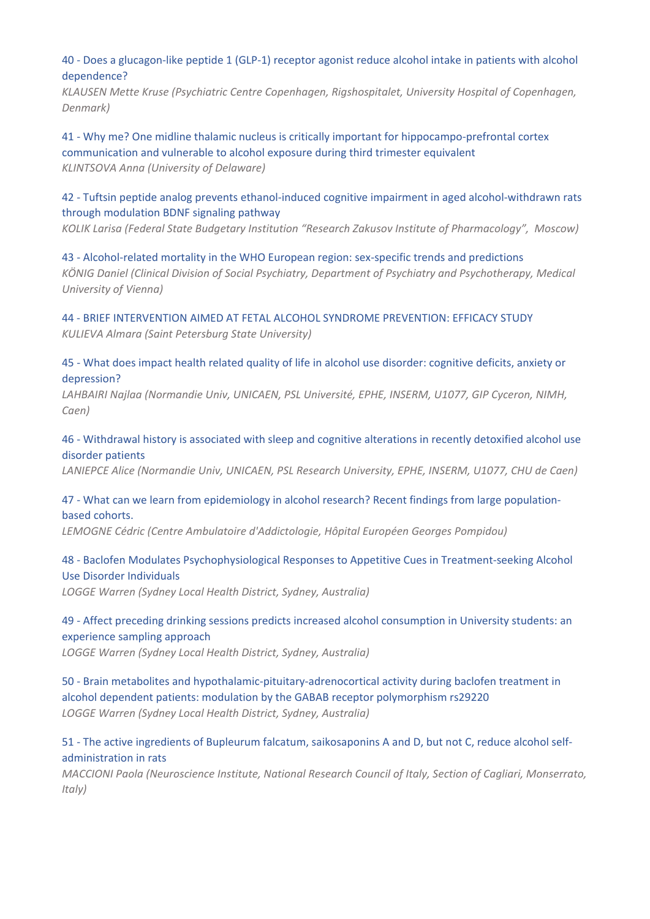40 ‐ Does a glucagon‐like peptide 1 (GLP‐1) receptor agonist reduce alcohol intake in patients with alcohol dependence?

*KLAUSEN Mette Kruse (Psychiatric Centre Copenhagen, Rigshospitalet, University Hospital of Copenhagen, Denmark)* 

41 - Why me? One midline thalamic nucleus is critically important for hippocampo-prefrontal cortex communication and vulnerable to alcohol exposure during third trimester equivalent *KLINTSOVA Anna (University of Delaware)* 

42 - Tuftsin peptide analog prevents ethanol-induced cognitive impairment in aged alcohol-withdrawn rats through modulation BDNF signaling pathway

*KOLIK Larisa (Federal State Budgetary Institution "Research Zakusov Institute of Pharmacology", Moscow)* 

43 ‐ Alcohol‐related mortality in the WHO European region: sex‐specific trends and predictions *KÖNIG Daniel (Clinical Division of Social Psychiatry, Department of Psychiatry and Psychotherapy, Medical University of Vienna)* 

44 ‐ BRIEF INTERVENTION AIMED AT FETAL ALCOHOL SYNDROME PREVENTION: EFFICACY STUDY *KULIEVA Almara (Saint Petersburg State University)* 

45 ‐ What does impact health related quality of life in alcohol use disorder: cognitive deficits, anxiety or depression?

*LAHBAIRI Najlaa (Normandie Univ, UNICAEN, PSL Université, EPHE, INSERM, U1077, GIP Cyceron, NIMH, Caen)* 

46 ‐ Withdrawal history is associated with sleep and cognitive alterations in recently detoxified alcohol use disorder patients

LANIEPCE Alice (Normandie Univ, UNICAEN, PSL Research University, EPHE, INSERM, U1077, CHU de Caen)

47 - What can we learn from epidemiology in alcohol research? Recent findings from large populationbased cohorts.

*LEMOGNE Cédric (Centre Ambulatoire d'Addictologie, Hôpital Européen Georges Pompidou)* 

48 ‐ Baclofen Modulates Psychophysiological Responses to Appetitive Cues in Treatment‐seeking Alcohol Use Disorder Individuals

*LOGGE Warren (Sydney Local Health District, Sydney, Australia)* 

49 ‐ Affect preceding drinking sessions predicts increased alcohol consumption in University students: an experience sampling approach

*LOGGE Warren (Sydney Local Health District, Sydney, Australia)* 

50 ‐ Brain metabolites and hypothalamic‐pituitary‐adrenocortical activity during baclofen treatment in alcohol dependent patients: modulation by the GABAB receptor polymorphism rs29220 *LOGGE Warren (Sydney Local Health District, Sydney, Australia)* 

51 - The active ingredients of Bupleurum falcatum, saikosaponins A and D, but not C, reduce alcohol selfadministration in rats

*MACCIONI Paola (Neuroscience Institute, National Research Council of Italy, Section of Cagliari, Monserrato, Italy)*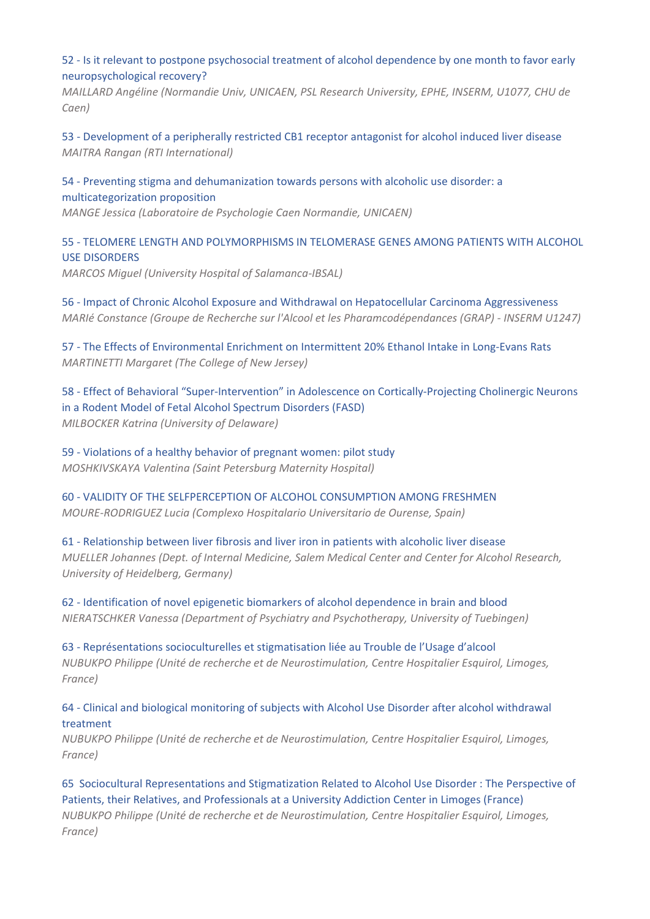52 ‐ Is it relevant to postpone psychosocial treatment of alcohol dependence by one month to favor early neuropsychological recovery?

*MAILLARD Angéline (Normandie Univ, UNICAEN, PSL Research University, EPHE, INSERM, U1077, CHU de Caen)* 

53 ‐ Development of a peripherally restricted CB1 receptor antagonist for alcohol induced liver disease *MAITRA Rangan (RTI International)* 

54 ‐ Preventing stigma and dehumanization towards persons with alcoholic use disorder: a multicategorization proposition

*MANGE Jessica (Laboratoire de Psychologie Caen Normandie, UNICAEN)* 

55 ‐ TELOMERE LENGTH AND POLYMORPHISMS IN TELOMERASE GENES AMONG PATIENTS WITH ALCOHOL USE DISORDERS

*MARCOS Miguel (University Hospital of Salamanca‐IBSAL)* 

56 ‐ Impact of Chronic Alcohol Exposure and Withdrawal on Hepatocellular Carcinoma Aggressiveness *MARIé Constance (Groupe de Recherche sur l'Alcool et les Pharamcodépendances (GRAP) ‐ INSERM U1247)* 

57 - The Effects of Environmental Enrichment on Intermittent 20% Ethanol Intake in Long-Evans Rats *MARTINETTI Margaret (The College of New Jersey)* 

58 ‐ Effect of Behavioral "Super‐Intervention" in Adolescence on Cortically‐Projecting Cholinergic Neurons in a Rodent Model of Fetal Alcohol Spectrum Disorders (FASD) *MILBOCKER Katrina (University of Delaware)* 

59 ‐ Violations of a healthy behavior of pregnant women: pilot study *MOSHKIVSKAYA Valentina (Saint Petersburg Maternity Hospital)* 

60 ‐ VALIDITY OF THE SELFPERCEPTION OF ALCOHOL CONSUMPTION AMONG FRESHMEN *MOURE‐RODRIGUEZ Lucia (Complexo Hospitalario Universitario de Ourense, Spain)* 

61 ‐ Relationship between liver fibrosis and liver iron in patients with alcoholic liver disease *MUELLER Johannes (Dept. of Internal Medicine, Salem Medical Center and Center for Alcohol Research, University of Heidelberg, Germany)* 

62 ‐ Identification of novel epigenetic biomarkers of alcohol dependence in brain and blood *NIERATSCHKER Vanessa (Department of Psychiatry and Psychotherapy, University of Tuebingen)* 

63 ‐ Représentations socioculturelles et stigmatisation liée au Trouble de l'Usage d'alcool *NUBUKPO Philippe (Unité de recherche et de Neurostimulation, Centre Hospitalier Esquirol, Limoges, France)* 

64 ‐ Clinical and biological monitoring of subjects with Alcohol Use Disorder after alcohol withdrawal treatment

*NUBUKPO Philippe (Unité de recherche et de Neurostimulation, Centre Hospitalier Esquirol, Limoges, France)* 

65 Sociocultural Representations and Stigmatization Related to Alcohol Use Disorder : The Perspective of Patients, their Relatives, and Professionals at a University Addiction Center in Limoges (France) *NUBUKPO Philippe (Unité de recherche et de Neurostimulation, Centre Hospitalier Esquirol, Limoges, France)*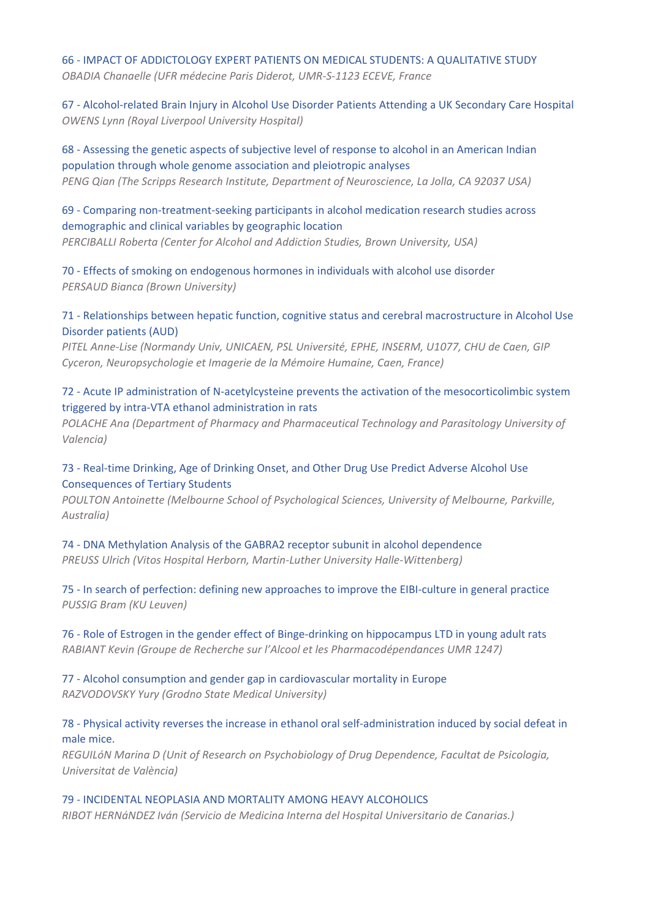66 ‐ IMPACT OF ADDICTOLOGY EXPERT PATIENTS ON MEDICAL STUDENTS: A QUALITATIVE STUDY *OBADIA Chanaelle (UFR médecine Paris Diderot, UMR‐S‐1123 ECEVE, France* 

67 ‐ Alcohol‐related Brain Injury in Alcohol Use Disorder Patients Attending a UK Secondary Care Hospital *OWENS Lynn (Royal Liverpool University Hospital)* 

68 ‐ Assessing the genetic aspects of subjective level of response to alcohol in an American Indian population through whole genome association and pleiotropic analyses *PENG Qian (The Scripps Research Institute, Department of Neuroscience, La Jolla, CA 92037 USA)* 

69 ‐ Comparing non‐treatment‐seeking participants in alcohol medication research studies across demographic and clinical variables by geographic location *PERCIBALLI Roberta (Center for Alcohol and Addiction Studies, Brown University, USA)* 

70 ‐ Effects of smoking on endogenous hormones in individuals with alcohol use disorder *PERSAUD Bianca (Brown University)* 

#### 71 ‐ Relationships between hepatic function, cognitive status and cerebral macrostructure in Alcohol Use Disorder patients (AUD)

*PITEL Anne‐Lise (Normandy Univ, UNICAEN, PSL Université, EPHE, INSERM, U1077, CHU de Caen, GIP Cyceron, Neuropsychologie et Imagerie de la Mémoire Humaine, Caen, France)* 

#### 72 ‐ Acute IP administration of N‐acetylcysteine prevents the activation of the mesocorticolimbic system triggered by intra‐VTA ethanol administration in rats

*POLACHE Ana (Department of Pharmacy and Pharmaceutical Technology and Parasitology University of Valencia)* 

## 73 - Real-time Drinking, Age of Drinking Onset, and Other Drug Use Predict Adverse Alcohol Use Consequences of Tertiary Students

*POULTON Antoinette (Melbourne School of Psychological Sciences, University of Melbourne, Parkville, Australia)* 

74 ‐ DNA Methylation Analysis of the GABRA2 receptor subunit in alcohol dependence *PREUSS Ulrich (Vitos Hospital Herborn, Martin‐Luther University Halle‐Wittenberg)* 

75 ‐ In search of perfection: defining new approaches to improve the EIBI‐culture in general practice *PUSSIG Bram (KU Leuven)* 

76 ‐ Role of Estrogen in the gender effect of Binge‐drinking on hippocampus LTD in young adult rats *RABIANT Kevin (Groupe de Recherche sur l'Alcool et les Pharmacodépendances UMR 1247)* 

77 ‐ Alcohol consumption and gender gap in cardiovascular mortality in Europe *RAZVODOVSKY Yury (Grodno State Medical University)* 

## 78 ‐ Physical activity reverses the increase in ethanol oral self‐administration induced by social defeat in male mice.

*REGUILóN Marina D (Unit of Research on Psychobiology of Drug Dependence, Facultat de Psicologia, Universitat de València)* 

#### 79 ‐ INCIDENTAL NEOPLASIA AND MORTALITY AMONG HEAVY ALCOHOLICS

*RIBOT HERNáNDEZ Iván (Servicio de Medicina Interna del Hospital Universitario de Canarias.)*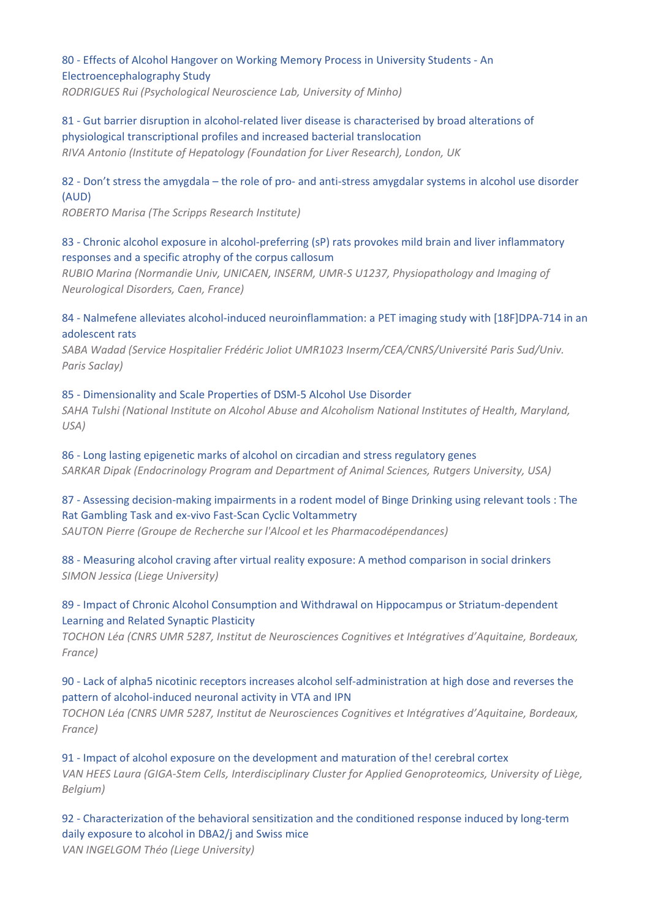## 80 ‐ Effects of Alcohol Hangover on Working Memory Process in University Students ‐ An Electroencephalography Study

*RODRIGUES Rui (Psychological Neuroscience Lab, University of Minho)* 

81 - Gut barrier disruption in alcohol-related liver disease is characterised by broad alterations of physiological transcriptional profiles and increased bacterial translocation *RIVA Antonio (Institute of Hepatology (Foundation for Liver Research), London, UK* 

## 82 - Don't stress the amygdala – the role of pro- and anti-stress amygdalar systems in alcohol use disorder (AUD)

*ROBERTO Marisa (The Scripps Research Institute)* 

## 83 - Chronic alcohol exposure in alcohol-preferring (sP) rats provokes mild brain and liver inflammatory responses and a specific atrophy of the corpus callosum

*RUBIO Marina (Normandie Univ, UNICAEN, INSERM, UMR‐S U1237, Physiopathology and Imaging of Neurological Disorders, Caen, France)* 

## 84 - Nalmefene alleviates alcohol-induced neuroinflammation: a PET imaging study with [18F]DPA-714 in an adolescent rats

*SABA Wadad (Service Hospitalier Frédéric Joliot UMR1023 Inserm/CEA/CNRS/Université Paris Sud/Univ. Paris Saclay)* 

#### 85 ‐ Dimensionality and Scale Properties of DSM‐5 Alcohol Use Disorder *SAHA Tulshi (National Institute on Alcohol Abuse and Alcoholism National Institutes of Health, Maryland, USA)*

86 ‐ Long lasting epigenetic marks of alcohol on circadian and stress regulatory genes *SARKAR Dipak (Endocrinology Program and Department of Animal Sciences, Rutgers University, USA)* 

## 87 - Assessing decision-making impairments in a rodent model of Binge Drinking using relevant tools : The Rat Gambling Task and ex‐vivo Fast‐Scan Cyclic Voltammetry

*SAUTON Pierre (Groupe de Recherche sur l'Alcool et les Pharmacodépendances)* 

## 88 - Measuring alcohol craving after virtual reality exposure: A method comparison in social drinkers *SIMON Jessica (Liege University)*

## 89 - Impact of Chronic Alcohol Consumption and Withdrawal on Hippocampus or Striatum-dependent Learning and Related Synaptic Plasticity

*TOCHON Léa (CNRS UMR 5287, Institut de Neurosciences Cognitives et Intégratives d'Aquitaine, Bordeaux, France)* 

## 90 - Lack of alpha5 nicotinic receptors increases alcohol self-administration at high dose and reverses the pattern of alcohol‐induced neuronal activity in VTA and IPN

*TOCHON Léa (CNRS UMR 5287, Institut de Neurosciences Cognitives et Intégratives d'Aquitaine, Bordeaux, France)* 

91 - Impact of alcohol exposure on the development and maturation of the! cerebral cortex *VAN HEES Laura (GIGA‐Stem Cells, Interdisciplinary Cluster for Applied Genoproteomics, University of Liège, Belgium)* 

92 - Characterization of the behavioral sensitization and the conditioned response induced by long-term daily exposure to alcohol in DBA2/j and Swiss mice *VAN INGELGOM Théo (Liege University)*